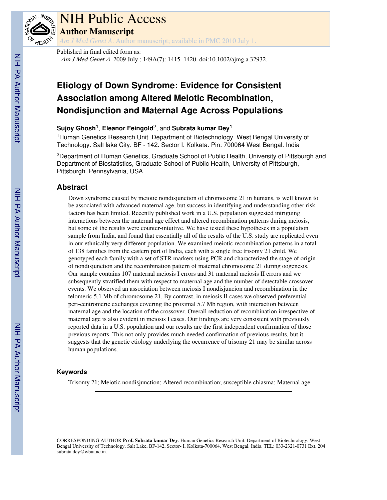

# NIH Public Access

**Author Manuscript**

*Am J Med Genet A*. Author manuscript; available in PMC 2010 July 1.

Published in final edited form as: Am J Med Genet A. 2009 July ; 149A(7): 1415-1420. doi:10.1002/ajmg.a.32932.

# **Etiology of Down Syndrome: Evidence for Consistent Association among Altered Meiotic Recombination, Nondisjunction and Maternal Age Across Populations**

**Sujoy Ghosh**1, **Eleanor Feingold**2, and **Subrata kumar Dey**<sup>1</sup>

<sup>1</sup>Human Genetics Research Unit. Department of Biotechnology. West Bengal University of Technology. Salt lake City. BF - 142. Sector I. Kolkata. Pin: 700064 West Bengal. India

<sup>2</sup>Department of Human Genetics, Graduate School of Public Health, University of Pittsburgh and Department of Biostatistics, Graduate School of Public Health, University of Pittsburgh, Pittsburgh. Pennsylvania, USA

# **Abstract**

Down syndrome caused by meiotic nondisjunction of chromosome 21 in humans, is well known to be associated with advanced maternal age, but success in identifying and understanding other risk factors has been limited. Recently published work in a U.S. population suggested intriguing interactions between the maternal age effect and altered recombination patterns during meiosis, but some of the results were counter-intuitive. We have tested these hypotheses in a population sample from India, and found that essentially all of the results of the U.S. study are replicated even in our ethnically very different population. We examined meiotic recombination patterns in a total of 138 families from the eastern part of India, each with a single free trisomy 21 child. We genotyped each family with a set of STR markers using PCR and characterized the stage of origin of nondisjunction and the recombination pattern of maternal chromosome 21 during oogenesis. Our sample contains 107 maternal meiosis I errors and 31 maternal meiosis II errors and we subsequently stratified them with respect to maternal age and the number of detectable crossover events. We observed an association between meiosis I nondisjuncion and recombination in the telomeric 5.1 Mb of chromosome 21. By contrast, in meiosis II cases we observed preferential peri-centromeric exchanges covering the proximal 5.7 Mb region, with interaction between maternal age and the location of the crossover. Overall reduction of recombination irrespective of maternal age is also evident in meiosis I cases. Our findings are very consistent with previously reported data in a U.S. population and our results are the first independent confirmation of those previous reports. This not only provides much needed confirmation of previous results, but it suggests that the genetic etiology underlying the occurrence of trisomy 21 may be similar across human populations.

### **Keywords**

Trisomy 21; Meiotic nondisjunction; Altered recombination; susceptible chiasma; Maternal age

CORRESPONDING AUTHOR **Prof. Subrata kumar Dey**. Human Genetics Research Unit. Department of Biotechnology. West Bengal University of Technology. Salt Lake, BF-142, Sector- I, Kolkata-700064. West Bengal. India. TEL: 033-2321-0731 Ext. 204 subrata.dey@wbut.ac.in.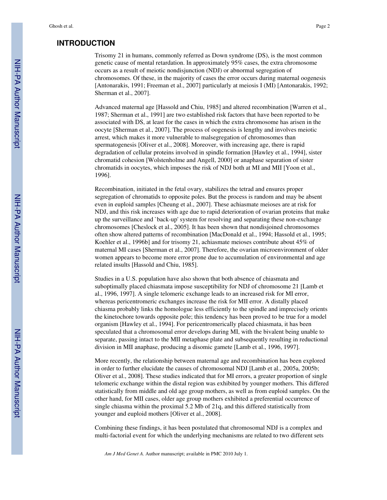## **INTRODUCTION**

Trisomy 21 in humans, commonly referred as Down syndrome (DS), is the most common genetic cause of mental retardation. In approximately 95% cases, the extra chromosome occurs as a result of meiotic nondisjunction (NDJ) or abnormal segregation of chromosomes. Of these, in the majority of cases the error occurs during maternal oogenesis [Antonarakis, 1991; Freeman et al., 2007] particularly at meiosis I (MI) [Antonarakis, 1992; Sherman et al., 2007].

Advanced maternal age [Hassold and Chiu, 1985] and altered recombination [Warren et al., 1987; Sherman et al., 1991] are two established risk factors that have been reported to be associated with DS, at least for the cases in which the extra chromosome has arisen in the oocyte [Sherman et al., 2007]. The process of oogenesis is lengthy and involves meiotic arrest, which makes it more vulnerable to malsegregation of chromosomes than spermatogenesis [Oliver et al., 2008]. Moreover, with increasing age, there is rapid degradation of cellular proteins involved in spindle formation [Hawley et al., 1994], sister chromatid cohesion [Wolstenholme and Angell, 2000] or anaphase separation of sister chromatids in oocytes, which imposes the risk of NDJ both at MI and MII [Yoon et al., 1996].

Recombination, initiated in the fetal ovary, stabilizes the tetrad and ensures proper segregation of chromatids to opposite poles. But the process is random and may be absent even in euploid samples [Cheung et al., 2007]. These achiasmate meioses are at risk for NDJ, and this risk increases with age due to rapid deterioration of ovarian proteins that make up the surveillance and `back-up' system for resolving and separating these non-exchange chromosomes [Cheslock et al., 2005]. It has been shown that nondisjoined chromosomes often show altered patterns of recombination [MacDonald et al., 1994; Hassold et al., 1995; Koehler et al., 1996b] and for trisomy 21, achiasmate meioses contribute about 45% of maternal MI cases [Sherman et al., 2007]. Therefore, the ovarian microenvironment of older women appears to become more error prone due to accumulation of environmental and age related insults [Hassold and Chiu, 1985].

Studies in a U.S. population have also shown that both absence of chiasmata and suboptimally placed chiasmata impose susceptibility for NDJ of chromosome 21 [Lamb et al., 1996, 1997]. A single telomeric exchange leads to an increased risk for MI error, whereas pericentromeric exchanges increase the risk for MII error. A distally placed chiasma probably links the homologue less efficiently to the spindle and imprecisely orients the kinetochore towards opposite pole; this tendency has been proved to be true for a model organism [Hawley et al., 1994]. For pericentromerically placed chiasmata, it has been speculated that a chromosomal error develops during MI, with the bivalent being unable to separate, passing intact to the MII metaphase plate and subsequently resulting in reductional division in MII anaphase, producing a disomic gamete [Lamb et al., 1996, 1997].

More recently, the relationship between maternal age and recombination has been explored in order to further elucidate the causes of chromosomal NDJ [Lamb et al., 2005a, 2005b; Oliver et al., 2008]. These studies indicated that for MI errors, a greater proportion of single telomeric exchange within the distal region was exhibited by younger mothers. This differed statistically from middle and old age group mothers, as well as from euploid samples. On the other hand, for MII cases, older age group mothers exhibited a preferential occurrence of single chiasma within the proximal 5.2 Mb of 21q, and this differed statistically from younger and euploid mothers [Oliver et al., 2008].

Combining these findings, it has been postulated that chromosomal NDJ is a complex and multi-factorial event for which the underlying mechanisms are related to two different sets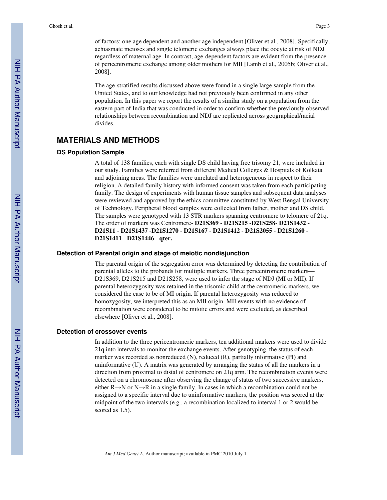of factors; one age dependent and another age independent [Oliver et al., 2008]. Specifically, achiasmate meioses and single telomeric exchanges always place the oocyte at risk of NDJ regardless of maternal age. In contrast, age-dependent factors are evident from the presence of pericentromeric exchange among older mothers for MII [Lamb et al., 2005b; Oliver et al., 2008].

The age-stratified results discussed above were found in a single large sample from the United States, and to our knowledge had not previously been confirmed in any other population. In this paper we report the results of a similar study on a population from the eastern part of India that was conducted in order to confirm whether the previously observed relationships between recombination and NDJ are replicated across geographical/racial divides.

### **MATERIALS AND METHODS**

### **DS Population Sample**

A total of 138 families, each with single DS child having free trisomy 21, were included in our study. Families were referred from different Medical Colleges & Hospitals of Kolkata and adjoining areas. The families were unrelated and heterogeneous in respect to their religion. A detailed family history with informed consent was taken from each participating family. The design of experiments with human tissue samples and subsequent data analyses were reviewed and approved by the ethics committee constituted by West Bengal University of Technology. Peripheral blood samples were collected from father, mother and DS child. The samples were genotyped with 13 STR markers spanning centromere to telomere of 21q. The order of markers was Centromere- **D21S369** - **D21S215** -**D21S258**- **D21S1432** - **D21S11** - **D21S1437** -**D21S1270** - **D21S167** - **D21S1412** - **D21S2055** - **D21S1260** - **D21S1411** - **D21S1446** - **qter.**

### **Detection of Parental origin and stage of meiotic nondisjunction**

The parental origin of the segregation error was determined by detecting the contribution of parental alleles to the probands for multiple markers. Three pericentromeric markers— D21S369, D21S215 and D21S258, were used to infer the stage of NDJ (MI or MII). If parental heterozygosity was retained in the trisomic child at the centromeric markers, we considered the case to be of MI origin. If parental heterozygosity was reduced to homozygosity, we interpreted this as an MII origin. MII events with no evidence of recombination were considered to be mitotic errors and were excluded, as described elsewhere [Oliver et al., 2008].

### **Detection of crossover events**

In addition to the three pericentromeric markers, ten additional markers were used to divide 21q into intervals to monitor the exchange events. After genotyping, the status of each marker was recorded as nonreduced (N), reduced (R), partially informative (PI) and uninformative (U). A matrix was generated by arranging the status of all the markers in a direction from proximal to distal of centromere on 21q arm. The recombination events were detected on a chromosome after observing the change of status of two successive markers, either R→N or N→R in a single family. In cases in which a recombination could not be assigned to a specific interval due to uninformative markers, the position was scored at the midpoint of the two intervals (e.g., a recombination localized to interval 1 or 2 would be scored as 1.5).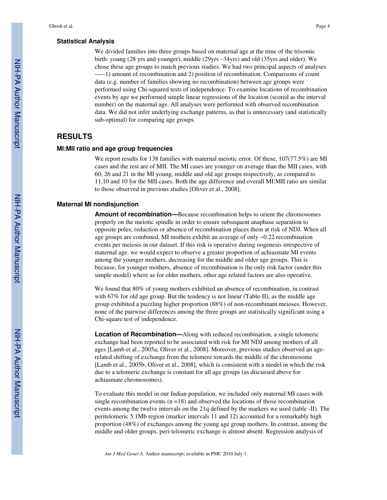### **Statistical Analysis**

We divided families into three groups based on maternal age at the time of the trisomic birth: young (28 yrs and younger), middle (29yrs –34yrs) and old (35yrs and older). We chose these age groups to match previous studies. We had two principal aspects of analyses -----1) amount of recombination and 2) position of recombination. Comparisons of count data (e.g. number of families showing no recombination) between age groups were performed using Chi-squared tests of independence. To examine locations of recombination events by age we performed simple linear regressions of the location (scored as the interval number) on the maternal age. All analyses were performed with observed recombination data. We did not infer underlying exchange patterns, as that is unnecessary (and statistically sub-optimal) for comparing age groups.

## **RESULTS**

### **MI:MII ratio and age group frequencies**

We report results for 138 families with maternal meiotic error. Of these,  $107(77.5%)$  are MI cases and the rest are of MII. The MI cases are younger on average than the MII cases, with 60, 26 and 21 in the MI young, middle and old age groups respectively, as compared to 11,10 and 10 for the MII cases. Both the age difference and overall MI:MII ratio are similar to those observed in previous studies [Oliver et al., 2008].

### **Maternal MI nondisjunction**

**Amount of recombination—**Because recombination helps to orient the chromosomes properly on the meiotic spindle in order to ensure subsequent anaphase separation to opposite poles, reduction or absence of recombination places them at risk of NDJ. When all age groups are combined, MI mothers exhibit an average of only ~0.22 recombination events per meiosis in our dataset. If this risk is operative during oogenesis irrespective of maternal age, we would expect to observe a greater proportion of achiasmate MI events among the younger mothers, decreasing for the middle and older age groups. This is because, for younger mothers, absence of recombination is the only risk factor (under this simple model) where as for older mothers, other age related factors are also operative.

We found that 80% of young mothers exhibited an absence of recombination, in contrast with 67% for old age group. But the tendency is not linear (Table-II), as the middle age group exhibited a puzzling higher proportion (88%) of non-recombinant meioses. However, none of the pairwise differences among the three groups are statistically significant using a Chi-square test of independence.

**Location of Recombination—**Along with reduced recombination, a single telomeric exchange had been reported to be associated with risk for MI NDJ among mothers of all ages [Lamb et al., 2005a; Oliver et al., 2008]. Moreover, previous studies observed an agerelated shifting of exchange from the telomere towards the middle of the chromosome [Lamb et al., 2005b; Oliver et al., 2008], which is consistent with a model in which the risk due to a telomeric exchange is constant for all age groups (as discussed above for achiasmate chromosomes).

To evaluate this model in our Indian population, we included only maternal MI cases with single recombination events  $(n = 18)$  and observed the locations of those recombination events among the twelve intervals on the 21q defined by the markers we used (table -II). The peritelomeric 5.1Mb region (marker intervals 11 and 12) accounted for a remarkably high proportion (48%) of exchanges among the young age group mothers. In contrast, among the middle and older groups, peri-telomeric exchange is almost absent. Regression analysis of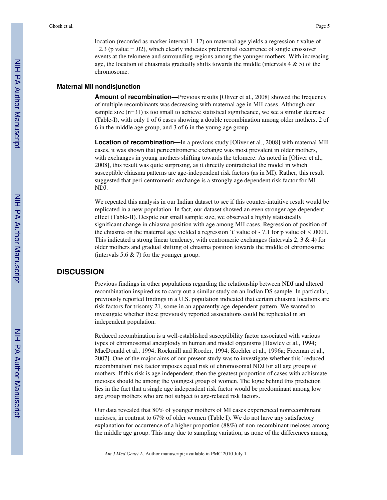location (recorded as marker interval  $1-12$ ) on maternal age yields a regression-t value of −2.3 (p value = .02), which clearly indicates preferential occurrence of single crossover events at the telomere and surrounding regions among the younger mothers. With increasing age, the location of chiasmata gradually shifts towards the middle (intervals  $4 \& 5$ ) of the chromosome.

### **Maternal MII nondisjunction**

**Amount of recombination—**Previous results [Oliver et al., 2008] showed the frequency of multiple recombinants was decreasing with maternal age in MII cases. Although our sample size (n=31) is too small to achieve statistical significance, we see a similar decrease (Table-I), with only 1 of 6 cases showing a double recombination among older mothers, 2 of 6 in the middle age group, and 3 of 6 in the young age group.

**Location of recombination—**In a previous study [Oliver et al., 2008] with maternal MII cases, it was shown that pericentromeric exchange was most prevalent in older mothers, with exchanges in young mothers shifting towards the telomere. As noted in [Oliver et al., 2008], this result was quite surprising, as it directly contradicted the model in which susceptible chiasma patterns are age-independent risk factors (as in MI). Rather, this result suggested that peri-centromeric exchange is a strongly age dependent risk factor for MI NDJ.

We repeated this analysis in our Indian dataset to see if this counter-intuitive result would be replicated in a new population. In fact, our dataset showed an even stronger age-dependent effect (Table-II). Despite our small sample size, we observed a highly statistically significant change in chiasma position with age among MII cases. Regression of position of the chiasma on the maternal age yielded a regression `t' value of  $-7.1$  for p value of  $\leq .0001$ . This indicated a strong linear tendency, with centromeric exchanges (intervals 2, 3 & 4) for older mothers and gradual shifting of chiasma position towards the middle of chromosome (intervals  $5.6 \& 7$ ) for the younger group.

### **DISCUSSION**

Previous findings in other populations regarding the relationship between NDJ and altered recombination inspired us to carry out a similar study on an Indian DS sample. In particular, previously reported findings in a U.S. population indicated that certain chiasma locations are risk factors for trisomy 21, some in an apparently age-dependent pattern. We wanted to investigate whether these previously reported associations could be replicated in an independent population.

Reduced recombination is a well-established susceptibility factor associated with various types of chromosomal aneuploidy in human and model organisms [Hawley et al., 1994; MacDonald et al., 1994; Rockmill and Roeder, 1994; Koehler et al., 1996a; Freeman et al., 2007]. One of the major aims of our present study was to investigate whether this `reduced recombination' risk factor imposes equal risk of chromosomal NDJ for all age groups of mothers. If this risk is age independent, then the greatest proportion of cases with achismate meioses should be among the youngest group of women. The logic behind this prediction lies in the fact that a single age independent risk factor would be predominant among low age group mothers who are not subject to age-related risk factors.

Our data revealed that 80% of younger mothers of MI cases experienced nonrecombinant meioses, in contrast to 67% of older women (Table I). We do not have any satisfactory explanation for occurrence of a higher proportion (88%) of non-recombinant meioses among the middle age group. This may due to sampling variation, as none of the differences among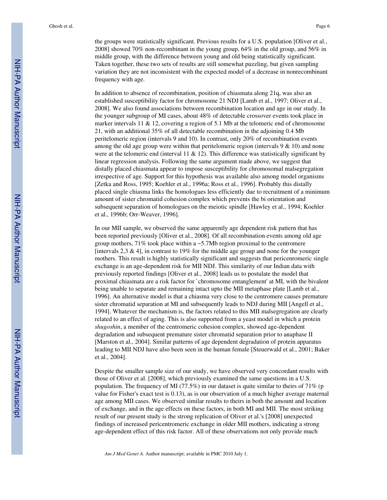the groups were statistically significant. Previous results for a U.S. population [Oliver et al., 2008] showed 70% non-recombinant in the young group, 64% in the old group, and 56% in middle group, with the difference between young and old being statistically significant. Taken together, these two sets of results are still somewhat puzzling, but given sampling variation they are not inconsistent with the expected model of a decrease in nonrecombinant frequency with age.

In addition to absence of recombination, position of chiasmata along 21q, was also an established susceptibility factor for chromosome 21 NDJ [Lamb et al., 1997; Oliver et al., 2008]. We also found associations between recombination location and age in our study. In the younger subgroup of MI cases, about 48% of detectable crossover events took place in marker intervals  $11 \& 12$ , covering a region of 5.1 Mb at the telomeric end of chromosome 21, with an additional 35% of all detectable recombination in the adjoining 0.4 Mb peritelomeric region (intervals 9 and 10). In contrast, only 20% of recombination events among the old age group were within that peritelomeric region (intervals 9 & 10) and none were at the telomeric end (interval 11  $\&$  12). This difference was statistically significant by linear regression analysis. Following the same argument made above, we suggest that distally placed chiasmata appear to impose susceptibility for chromosomal malsegregation irrespective of age. Support for this hypothesis was available also among model organisms [Zetka and Ross, 1995; Koehler et al., 1996a; Ross et al., 1996]. Probably this distally placed single chiasma links the homologues less efficiently due to recruitment of a minimum amount of sister chromatid cohesion complex which prevents the bi orientation and subsequent separation of homologues on the meiotic spindle [Hawley et al., 1994; Koehler et al., 1996b; Orr-Weaver, 1996].

In our MII sample, we observed the same apparently age dependent risk pattern that has been reported previously [Oliver et al., 2008]. Of all recombination events among old age group mothers,  $71\%$  took place within a ~5.7Mb region proximal to the centromere [intervals  $2.3 \& 4$ ], in contrast to 19% for the middle age group and none for the younger mothers. This result is highly statistically significant and suggests that pericenromeric single exchange is an age-dependent risk for MII NDJ. This similarity of our Indian data with previously reported findings [Oliver et al., 2008] leads us to postulate the model that proximal chiasmata are a risk factor for `chromosome entanglement' at MI, with the bivalent being unable to separate and remaining intact upto the MII metaphase plate [Lamb et al., 1996]. An alternative model is that a chiasma very close to the centromere causes premature sister chromatid separation at MI and subsequently leads to NDJ during MII [Angell et al., 1994]. Whatever the mechanism is, the factors related to this MII malsegregation are clearly related to an effect of aging. This is also supported from a yeast model in which a protein *shugoshin*, a member of the centromeric cohesion complex, showed age-dependent degradation and subsequent premature sister chromatid separation prior to anaphase II [Marston et al., 2004]. Similar patterns of age dependent degradation of protein apparatus leading to MII NDJ have also been seen in the human female [Steuerwald et al., 2001; Baker et al., 2004].

Despite the smaller sample size of our study, we have observed very concordant results with those of Oliver et al. [2008], which previously examined the same questions in a U.S. population. The frequency of MI (77.5%) in our dataset is quite similar to theirs of 71% (p value for Fisher's exact test is 0.13), as is our observation of a much higher average maternal age among MII cases. We observed similar results to theirs in both the amount and location of exchange, and in the age effects on these factors, in both MI and MII. The most striking result of our present study is the strong replication of Oliver et al.'s [2008] unexpected findings of increased pericentromeric exchange in older MII mothers, indicating a strong age-dependent effect of this risk factor. All of these observations not only provide much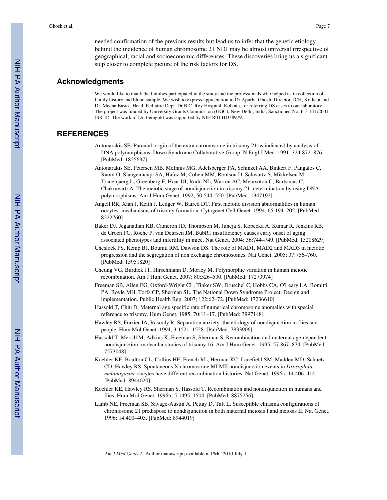needed confirmation of the previous results but lead us to infer that the genetic etiology behind the incidence of human chromosome 21 NDJ may be almost universal irrespective of geographical, racial and socioeconomic differences. These discoveries bring us a significant step closer to complete picture of the risk factors for DS.

### **Acknowledgments**

We would like to thank the families participated in the study and the professionals who helped us in collection of family history and blood sample. We wish to express appreciation to Dr.Apurba Ghosh, Director, ICH, Kolkata and Dr. Meena Basak, Head, Pediatric Dept. Dr B.C. Roy Hospital, Kolkata, for referring DS cases to our laboratory. The project was funded by University Grants Commission (UGC), New Delhi, India; Sanctioned No. F-3-111/2001 (SR-II). The work of Dr. Feingold was supported by NIH R01 HD38979.

### **REFERENCES**

- Antonarakis SE. Parental origin of the extra chromosome in trisomy 21 as indicated by analysis of DNA polymorphisms. Down Syndrome Collaborative Group. N Engl J Med. 1991; 324:872–876. [PubMed: 1825697]
- Antonarakis SE, Petersen MB, McInnis MG, Adelsberger PA, Schinzel AA, Binkert F, Pangalos C, Raoul O, Slaugenhaupt SA, Hafez M, Cohen MM, Roulson D, Schwartz S, Mikkelsen M, Tranebjaerg L, Greenberg F, Hoar DI, Rudd NL, Warren AC, Metaxotou C, Bartsocas C, Chakravarti A. The meiotic stage of nondisjunction in trisomy 21: determination by using DNA polymorphisms. Am J Hum Genet. 1992; 50:544–550. [PubMed: 1347192]
- Angell RR, Xian J, Keith J, Ledger W, Baired DT. First meiotic division abnormalities in human oocytes: mechanisms of trisomy formation. Cytogenet Cell Genet. 1994; 65:194–202. [PubMed: 8222760]
- Baker DJ, Jeganathan KB, Cameron JD, Thompson M, Juneja S, Kopecka A, Kumar R, Jenkins RB, de Groen PC, Roche P, van Deursen JM. BubR1 insufficiency causes early onset of aging associated phenotypes and infertility in mice. Nat Genet. 2004; 36:744–749. [PubMed: 15208629]
- Cheslock PS, Kemp BJ, Boumil RM, Dawson DS. The role of MAD1, MAD2 and MAD3 in meiotic progression and the segregation of non exchange chromosomes. Nat Genet. 2005; 37:756–760. [PubMed: 15951820]
- Cheung VG, Burdick JT, Hirschmann D, Morley M. Polymorphic variation in human meiotic recombination. Am J Hum Genet. 2007; 80:526–530. [PubMed: 17273974]
- Freeman SB, Allen EG, Oxford-Wright CL, Tinker SW, Druschel C, Hobbs CA, O'Leary LA, Romitti PA, Royle MH, Torfs CP, Sherman SL. The National Down Syndrome Project: Design and implementation. Public Health Rep. 2007; 122:62–72. [PubMed: 17236610]
- Hassold T, Chiu D. Maternal age specific rate of numerical chromosome anomalies with special reference to trisomy. Hum Genet. 1985; 70:11–17. [PubMed: 3997148]
- Hawley RS, Frazier JA, Rasooly R. Separation anxiety: the etiology of nondisjunction in flies and people. Hum Mol Genet. 1994; 3:1521–1528. [PubMed: 7833906]
- Hassold T, Merrill M, Adkins K, Freeman S, Sherman S. Recombination and maternal age-dependent nondisjunction: molecular studies of trisomy 16. Am J Hum Genet. 1995; 57:867–874. [PubMed: 7573048]
- Koehler KE, Boulton CL, Collins HE, French RL, Herman KC, Lacefield SM, Madden MD, Schuetz CD, Hawley RS. Spontaneous X chromosome MI MII nondisjunction events in *Drosophila melanogaster* oocytes have different recombination histories. Nat Genet. 1996a; 14:406–414. [PubMed: 8944020]
- Koehler KE, Hawley RS, Sherman S, Hassold T. Recombination and nondisjunction in humans and flies. Hum Mol Genet. 1996b; 5:1495–1504. [PubMed: 8875256]
- Lamb NE, Freeman SB, Savage-Austin A, Pettay D, Taft L. Susceptible chiasma configurations of chromosome 21 predispose to nondisjunction in both maternal meiosis I and meiosis II. Nat Genet. 1996; 14:400–405. [PubMed: 8944019]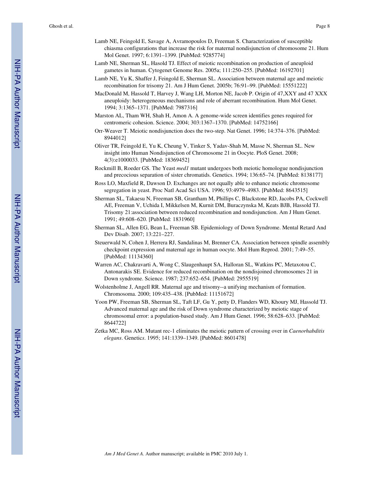- Lamb NE, Feingold E, Savage A, Avramopoulos D, Freeman S. Characterization of susceptible chiasma configurations that increase the risk for maternal nondisjunction of chromosome 21. Hum Mol Genet. 1997; 6:1391–1399. [PubMed: 9285774]
- Lamb NE, Sherman SL, Hasold TJ. Effect of meiotic recombination on production of aneuploid gametes in human. Cytogenet Genome Res. 2005a; 111:250–255. [PubMed: 16192701]
- Lamb NE, Yu K, Shaffer J, Feingold E, Sherman SL. Association between maternal age and meiotic recombination for trisomy 21. Am J Hum Genet. 2005b; 76:91–99. [PubMed: 15551222]
- MacDonald M, Hassold T, Harvey J, Wang LH, Morton NE, Jacob P. Origin of 47,XXY and 47 XXX aneuploidy: heterogeneous mechanisms and role of aberrant recombination. Hum Mol Genet. 1994; 3:1365–1371. [PubMed: 7987316]
- Marston AL, Tham WH, Shah H, Amon A. A genome-wide screen identifies genes required for centromeric cohesion. Science. 2004; 303:1367–1370. [PubMed: 14752166]
- Orr-Weaver T. Meiotic nondisjunction does the two-step. Nat Genet. 1996; 14:374–376. [PubMed: 8944012]
- Oliver TR, Feingold E, Yu K, Cheung V, Tinker S, Yadav-Shah M, Masse N, Sherman SL. New insight into Human Nondisjunction of Chromosome 21 in Oocyte. PloS Genet. 2008; 4(3):e1000033. [PubMed: 18369452]
- Rockmill B, Roeder GS. The Yeast *med1* mutant undergoes both meiotic homologue nondisjunction and precocious separation of sister chromatids. Genetics. 1994; 136:65–74. [PubMed: 8138177]
- Ross LO, Maxfield R, Dawson D. Exchanges are not equally able to enhance meiotic chromosome segregation in yeast. Proc Natl Acad Sci USA. 1996; 93:4979–4983. [PubMed: 8643515]
- Sherman SL, Takaesu N, Freeman SB, Grantham M, Phillips C, Blackstone RD, Jacobs PA, Cockwell AE, Freeman V, Uchida I, Mikkelsen M, Kurnit DM, Buraczynska M, Keats BJB, Hassold TJ. Trisomy 21:association between reduced recombination and nondisjunction. Am J Hum Genet. 1991; 49:608–620. [PubMed: 1831960]
- Sherman SL, Allen EG, Bean L, Freeman SB. Epidemiology of Down Syndrome. Mental Retard And Dev Disab. 2007; 13:221–227.
- Steuerwald N, Cohen J, Herrera RJ, Sandalinas M, Brenner CA. Association between spindle assembly checkpoint expression and maternal age in human oocyte. Mol Hum Reprod. 2001; 7:49–55. [PubMed: 11134360]
- Warren AC, Chakravarti A, Wong C, Slaugenhaupt SA, Halloran SL, Watkins PC, Metaxotou C, Antonarakis SE. Evidence for reduced recombination on the nondisjoined chromosomes 21 in Down syndrome. Science. 1987; 237:652–654. [PubMed: 2955519]
- Wolstenholme J, Angell RR. Maternal age and trisomy--a unifying mechanism of formation. Chromosoma. 2000; 109:435–438. [PubMed: 11151672]
- Yoon PW, Freeman SB, Sherman SL, Taft LF, Gu Y, petty D, Flanders WD, Khoury MJ, Hassold TJ. Advanced maternal age and the risk of Down syndrome characterized by meiotic stage of chromosomal error: a population-based study. Am J Hum Genet. 1996; 58:628–633. [PubMed: 8644722]
- Zetka MC, Ross AM. Mutant rec-1 eliminates the meiotic pattern of crossing over in *Caenorhabditis elegans*. Genetic*s*. 1995; 141:1339–1349. [PubMed: 8601478]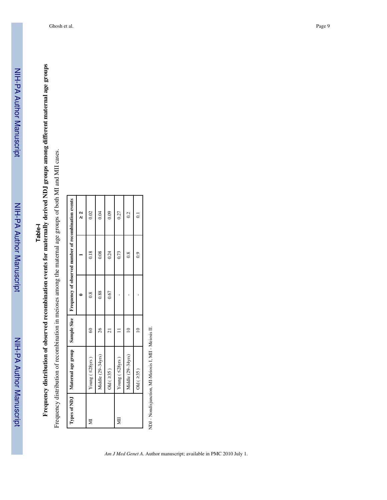# **Frequency distribution of observed recombination events for maternally derived NDJ groups among different maternal age groups Frequency distribution of observed recombination events for maternally derived NDJ groups among different maternal age groups**

Frequency distribution of recombination in meioses among the maternal age groups of both MI and MII cases. Frequency distribution of recombination in meioses among the maternal age groups of both MI and MII cases.

|   | Types of NDJ   Maternal age group   Sample Size   Frequency of observed number of recombination events |            |      |               |                |
|---|--------------------------------------------------------------------------------------------------------|------------|------|---------------|----------------|
|   |                                                                                                        |            |      |               | ี<br>ผ         |
| ₹ | Young ( $\leq$ 28yrs)                                                                                  | $\epsilon$ | 0.8  | 0.18          | 0.02           |
|   | Middle (29-34yrs)                                                                                      | 26         | 0.88 | 0.08          | 0.04           |
|   | Old $(235)$                                                                                            |            | 0.67 | 0.24          | 0.09           |
| 囯 | Young $(528yrs)$                                                                                       |            |      | 0.73          | 0.27           |
|   | Middle (29-34yrs)                                                                                      |            |      | $\frac{8}{2}$ | 0.2            |
|   | Old $(235)$                                                                                            |            |      | $\ddot{6}$    | $\overline{C}$ |
|   |                                                                                                        |            |      |               |                |

NDJ - Nondisjunction, MI-Meiosis I, MII - Meiosis II. NDJ - Nondisjunction, MI-Meiosis I, MII - Meiosis II.